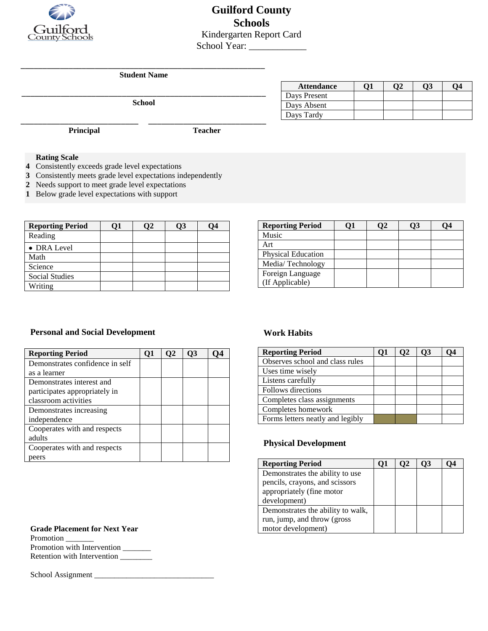

**Guilford County Schools** Kindergarten Report Card School Year: \_\_\_\_\_\_\_\_\_\_\_\_

\_\_\_\_\_\_\_\_\_\_\_\_\_\_\_\_\_\_\_\_\_\_\_\_\_\_\_\_\_\_\_\_\_\_\_\_\_\_\_\_\_\_\_\_\_\_\_\_\_\_\_\_\_\_\_\_ **Student Name**

\_\_\_\_\_\_\_\_\_\_\_\_\_\_\_\_\_\_\_\_\_\_\_\_\_\_\_ \_\_\_\_\_\_\_\_\_\_\_\_\_\_\_\_\_\_\_\_\_\_\_\_\_\_\_

\_\_\_\_\_\_\_\_\_\_\_\_\_\_\_\_\_\_\_\_\_\_\_\_\_\_\_\_\_\_\_\_\_\_\_\_\_\_\_\_\_\_\_\_\_\_\_\_\_\_\_\_\_\_\_\_ **School**

| <b>Attendance</b> |  | О3 |  |
|-------------------|--|----|--|
| Days Present      |  |    |  |
| Days Absent       |  |    |  |
| Days Tardy        |  |    |  |

**Principal Teacher**

## **Rating Scale**

- **4** Consistently exceeds grade level expectations
- **3** Consistently meets grade level expectations independently
- **2** Needs support to meet grade level expectations
- **1** Below grade level expectations with support

| <b>Reporting Period</b> | υı | O3 | Ο4 |
|-------------------------|----|----|----|
| Reading                 |    |    |    |
| • DRA Level             |    |    |    |
| Math                    |    |    |    |
| Science                 |    |    |    |
| <b>Social Studies</b>   |    |    |    |
| Writing                 |    |    |    |

| <b>Reporting Period</b> |  | O3 | 04 |
|-------------------------|--|----|----|
| Music                   |  |    |    |
| Art                     |  |    |    |
| Physical Education      |  |    |    |
| Media/Technology        |  |    |    |
| Foreign Language        |  |    |    |
| (If Applicable)         |  |    |    |

#### **Personal and Social Development Work Habits**

| <b>Reporting Period</b>         | O1 | O2 |  |
|---------------------------------|----|----|--|
| Demonstrates confidence in self |    |    |  |
| as a learner                    |    |    |  |
| Demonstrates interest and       |    |    |  |
| participates appropriately in   |    |    |  |
| classroom activities            |    |    |  |
| Demonstrates increasing         |    |    |  |
| independence                    |    |    |  |
| Cooperates with and respects    |    |    |  |
| adults                          |    |    |  |
| Cooperates with and respects    |    |    |  |
| eers                            |    |    |  |

| <b>Reporting Period</b>          | UГ | 02 | <b>O3</b> | O4 |
|----------------------------------|----|----|-----------|----|
| Observes school and class rules  |    |    |           |    |
| Uses time wisely                 |    |    |           |    |
| Listens carefully                |    |    |           |    |
| Follows directions               |    |    |           |    |
| Completes class assignments      |    |    |           |    |
| Completes homework               |    |    |           |    |
| Forms letters neatly and legibly |    |    |           |    |

### **Physical Development**

| <b>Reporting Period</b>           | υı | $\mathbf{v}$ | $93^{\circ}$ | . J4 |
|-----------------------------------|----|--------------|--------------|------|
| Demonstrates the ability to use   |    |              |              |      |
| pencils, crayons, and scissors    |    |              |              |      |
| appropriately (fine motor         |    |              |              |      |
| development)                      |    |              |              |      |
| Demonstrates the ability to walk, |    |              |              |      |
| run, jump, and throw (gross       |    |              |              |      |
| motor development)                |    |              |              |      |

**Grade Placement for Next Year** Promotion

Promotion with Intervention \_\_\_\_\_\_ Retention with Intervention \_\_\_\_\_\_\_\_

School Assignment \_\_\_\_\_\_\_\_\_\_\_\_\_\_\_\_\_\_\_\_\_\_\_\_\_\_\_\_\_\_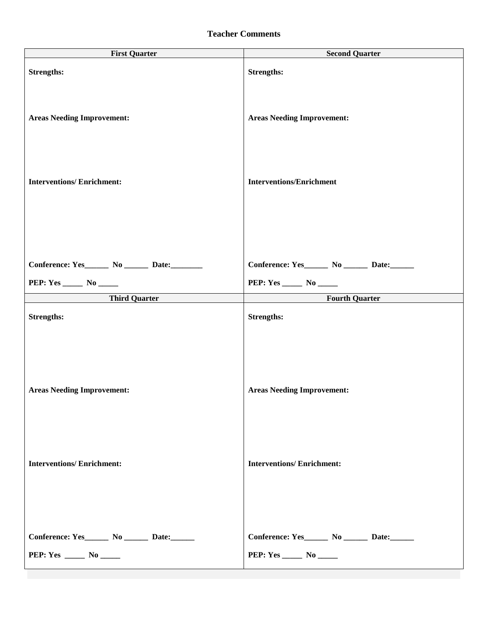## **Teacher Comments**

| <b>First Quarter</b>                             | <b>Second Quarter</b>                            |
|--------------------------------------------------|--------------------------------------------------|
| <b>Strengths:</b>                                | <b>Strengths:</b>                                |
| <b>Areas Needing Improvement:</b>                | <b>Areas Needing Improvement:</b>                |
| <b>Interventions/Enrichment:</b>                 | <b>Interventions/Enrichment</b>                  |
|                                                  |                                                  |
| Conference: Yes_______ No _______ Date:________  | Conference: Yes________ No ________ Date:_______ |
| PEP: Yes _______ No ______                       | PEP: Yes _______ No ______                       |
| <b>Third Quarter</b>                             | <b>Fourth Quarter</b>                            |
| <b>Strengths:</b>                                | <b>Strengths:</b>                                |
|                                                  |                                                  |
| <b>Areas Needing Improvement:</b>                | <b>Areas Needing Improvement:</b>                |
|                                                  |                                                  |
| <b>Interventions/Enrichment:</b>                 | <b>Interventions/Enrichment:</b>                 |
|                                                  |                                                  |
| Conference: Yes________ No ________ Date:_______ | Conference: Yes_______ No _______ Date:______    |
| PEP: Yes _____ No ____                           | <b>PEP:</b> Yes ________ No _______              |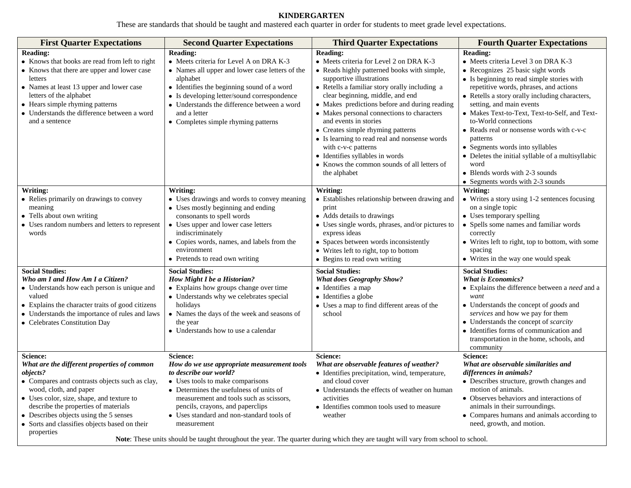# **KINDERGARTEN**

These are standards that should be taught and mastered each quarter in order for students to meet grade level expectations.

| <b>First Quarter Expectations</b>                                                                                                                                                                                                                                                                                                             | <b>Second Quarter Expectations</b>                                                                                                                                                                                                                                                                                                                                                                                                               | <b>Third Quarter Expectations</b>                                                                                                                                                                                                                                                                                                                                                                                                                                                                                                                                 | <b>Fourth Quarter Expectations</b>                                                                                                                                                                                                                                                                                                                                                                                                                                                                                                                                        |
|-----------------------------------------------------------------------------------------------------------------------------------------------------------------------------------------------------------------------------------------------------------------------------------------------------------------------------------------------|--------------------------------------------------------------------------------------------------------------------------------------------------------------------------------------------------------------------------------------------------------------------------------------------------------------------------------------------------------------------------------------------------------------------------------------------------|-------------------------------------------------------------------------------------------------------------------------------------------------------------------------------------------------------------------------------------------------------------------------------------------------------------------------------------------------------------------------------------------------------------------------------------------------------------------------------------------------------------------------------------------------------------------|---------------------------------------------------------------------------------------------------------------------------------------------------------------------------------------------------------------------------------------------------------------------------------------------------------------------------------------------------------------------------------------------------------------------------------------------------------------------------------------------------------------------------------------------------------------------------|
| <b>Reading:</b><br>• Knows that books are read from left to right<br>• Knows that there are upper and lower case<br>letters<br>• Names at least 13 upper and lower case<br>letters of the alphabet<br>• Hears simple rhyming patterns<br>• Understands the difference between a word<br>and a sentence                                        | <b>Reading:</b><br>• Meets criteria for Level A on DRA K-3<br>• Names all upper and lower case letters of the<br>alphabet<br>• Identifies the beginning sound of a word<br>• Is developing letter/sound correspondence<br>• Understands the difference between a word<br>and a letter<br>• Completes simple rhyming patterns                                                                                                                     | <b>Reading:</b><br>• Meets criteria for Level 2 on DRA K-3<br>• Reads highly patterned books with simple,<br>supportive illustrations<br>• Retells a familiar story orally including a<br>clear beginning, middle, and end<br>• Makes predictions before and during reading<br>• Makes personal connections to characters<br>and events in stories<br>• Creates simple rhyming patterns<br>• Is learning to read real and nonsense words<br>with c-v-c patterns<br>• Identifies syllables in words<br>• Knows the common sounds of all letters of<br>the alphabet | <b>Reading:</b><br>• Meets criteria Level 3 on DRA K-3<br>• Recognizes 25 basic sight words<br>• Is beginning to read simple stories with<br>repetitive words, phrases, and actions<br>• Retells a story orally including characters,<br>setting, and main events<br>• Makes Text-to-Text, Text-to-Self, and Text-<br>to-World connections<br>• Reads real or nonsense words with c-v-c<br>patterns<br>• Segments words into syllables<br>• Deletes the initial syllable of a multisyllabic<br>word<br>• Blends words with 2-3 sounds<br>• Segments words with 2-3 sounds |
| Writing:<br>• Relies primarily on drawings to convey<br>meaning<br>• Tells about own writing<br>• Uses random numbers and letters to represent<br>words                                                                                                                                                                                       | Writing:<br>• Uses drawings and words to convey meaning<br>• Uses mostly beginning and ending<br>consonants to spell words<br>• Uses upper and lower case letters<br>indiscriminately<br>• Copies words, names, and labels from the<br>environment<br>• Pretends to read own writing                                                                                                                                                             | Writing:<br>• Establishes relationship between drawing and<br>print<br>• Adds details to drawings<br>• Uses single words, phrases, and/or pictures to<br>express ideas<br>• Spaces between words inconsistently<br>• Writes left to right, top to bottom<br>• Begins to read own writing                                                                                                                                                                                                                                                                          | Writing:<br>• Writes a story using 1-2 sentences focusing<br>on a single topic<br>• Uses temporary spelling<br>• Spells some names and familiar words<br>correctly<br>• Writes left to right, top to bottom, with some<br>spacing<br>• Writes in the way one would speak                                                                                                                                                                                                                                                                                                  |
| <b>Social Studies:</b><br>Who am I and How Am I a Citizen?<br>• Understands how each person is unique and<br>valued<br>• Explains the character traits of good citizens<br>• Understands the importance of rules and laws<br>• Celebrates Constitution Day                                                                                    | <b>Social Studies:</b><br>How Might I be a Historian?<br>• Explains how groups change over time<br>• Understands why we celebrates special<br>holidays<br>• Names the days of the week and seasons of<br>the year<br>• Understands how to use a calendar                                                                                                                                                                                         | <b>Social Studies:</b><br><b>What does Geography Show?</b><br>· Identifies a map<br>• Identifies a globe<br>• Uses a map to find different areas of the<br>school                                                                                                                                                                                                                                                                                                                                                                                                 | <b>Social Studies:</b><br><b>What is Economics?</b><br>• Explains the difference between a need and a<br>want<br>• Understands the concept of goods and<br>services and how we pay for them<br>$\bullet$ Understands the concept of <i>scarcity</i><br>• Identifies forms of communication and<br>transportation in the home, schools, and<br>community                                                                                                                                                                                                                   |
| Science:<br>What are the different properties of common<br>objects?<br>• Compares and contrasts objects such as clay,<br>wood, cloth, and paper<br>• Uses color, size, shape, and texture to<br>describe the properties of materials<br>• Describes objects using the 5 senses<br>• Sorts and classifies objects based on their<br>properties | Science:<br>How do we use appropriate measurement tools<br>to describe our world?<br>• Uses tools to make comparisons<br>• Determines the usefulness of units of<br>measurement and tools such as scissors,<br>pencils, crayons, and paperclips<br>• Uses standard and non-standard tools of<br>measurement<br>Note: These units should be taught throughout the year. The quarter during which they are taught will vary from school to school. | Science:<br>What are observable features of weather?<br>• Identifies precipitation, wind, temperature,<br>and cloud cover<br>• Understands the effects of weather on human<br>activities<br>• Identifies common tools used to measure<br>weather                                                                                                                                                                                                                                                                                                                  | Science:<br>What are observable similarities and<br>differences in animals?<br>• Describes structure, growth changes and<br>motion of animals.<br>• Observes behaviors and interactions of<br>animals in their surroundings.<br>• Compares humans and animals according to<br>need, growth, and motion.                                                                                                                                                                                                                                                                   |